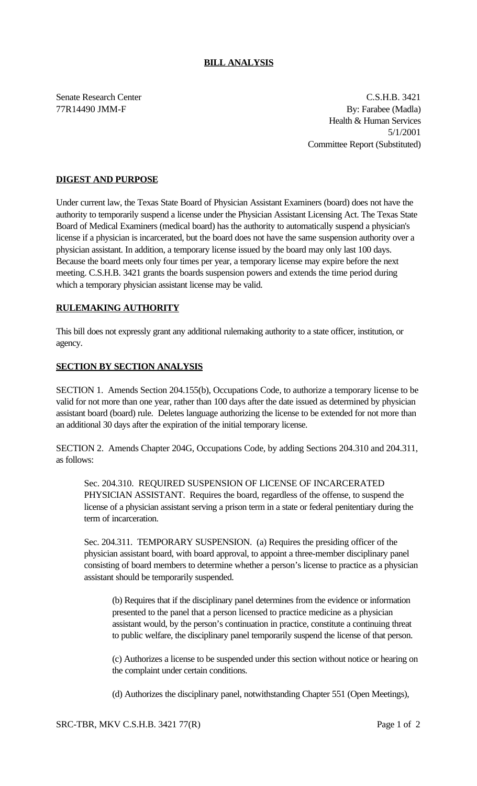#### **BILL ANALYSIS**

Senate Research Center C.S.H.B. 3421 77R14490 JMM-F By: Farabee (Madla) Health & Human Services 5/1/2001 Committee Report (Substituted)

## **DIGEST AND PURPOSE**

Under current law, the Texas State Board of Physician Assistant Examiners (board) does not have the authority to temporarily suspend a license under the Physician Assistant Licensing Act. The Texas State Board of Medical Examiners (medical board) has the authority to automatically suspend a physician's license if a physician is incarcerated, but the board does not have the same suspension authority over a physician assistant. In addition, a temporary license issued by the board may only last 100 days. Because the board meets only four times per year, a temporary license may expire before the next meeting. C.S.H.B. 3421 grants the boards suspension powers and extends the time period during which a temporary physician assistant license may be valid.

## **RULEMAKING AUTHORITY**

This bill does not expressly grant any additional rulemaking authority to a state officer, institution, or agency.

#### **SECTION BY SECTION ANALYSIS**

SECTION 1. Amends Section 204.155(b), Occupations Code, to authorize a temporary license to be valid for not more than one year, rather than 100 days after the date issued as determined by physician assistant board (board) rule. Deletes language authorizing the license to be extended for not more than an additional 30 days after the expiration of the initial temporary license.

SECTION 2. Amends Chapter 204G, Occupations Code, by adding Sections 204.310 and 204.311, as follows:

Sec. 204.310. REQUIRED SUSPENSION OF LICENSE OF INCARCERATED PHYSICIAN ASSISTANT. Requires the board, regardless of the offense, to suspend the license of a physician assistant serving a prison term in a state or federal penitentiary during the term of incarceration.

Sec. 204.311. TEMPORARY SUSPENSION. (a) Requires the presiding officer of the physician assistant board, with board approval, to appoint a three-member disciplinary panel consisting of board members to determine whether a person's license to practice as a physician assistant should be temporarily suspended.

(b) Requires that if the disciplinary panel determines from the evidence or information presented to the panel that a person licensed to practice medicine as a physician assistant would, by the person's continuation in practice, constitute a continuing threat to public welfare, the disciplinary panel temporarily suspend the license of that person.

(c) Authorizes a license to be suspended under this section without notice or hearing on the complaint under certain conditions.

(d) Authorizes the disciplinary panel, notwithstanding Chapter 551 (Open Meetings),